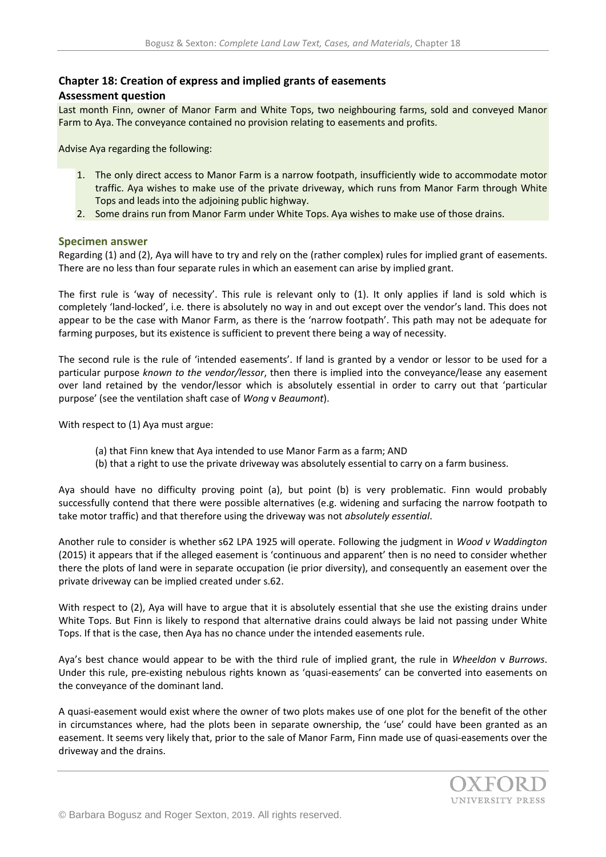## **Chapter 18: Creation of express and implied grants of easements**

## **Assessment question**

Last month Finn, owner of Manor Farm and White Tops, two neighbouring farms, sold and conveyed Manor Farm to Aya. The conveyance contained no provision relating to easements and profits.

Advise Aya regarding the following:

- 1. The only direct access to Manor Farm is a narrow footpath, insufficiently wide to accommodate motor traffic. Aya wishes to make use of the private driveway, which runs from Manor Farm through White Tops and leads into the adjoining public highway.
- 2. Some drains run from Manor Farm under White Tops. Aya wishes to make use of those drains.

## **Specimen answer**

Regarding (1) and (2), Aya will have to try and rely on the (rather complex) rules for implied grant of easements. There are no less than four separate rules in which an easement can arise by implied grant.

The first rule is 'way of necessity'. This rule is relevant only to (1). It only applies if land is sold which is completely 'land-locked', i.e. there is absolutely no way in and out except over the vendor's land. This does not appear to be the case with Manor Farm, as there is the 'narrow footpath'. This path may not be adequate for farming purposes, but its existence is sufficient to prevent there being a way of necessity.

The second rule is the rule of 'intended easements'. If land is granted by a vendor or lessor to be used for a particular purpose *known to the vendor/lessor*, then there is implied into the conveyance/lease any easement over land retained by the vendor/lessor which is absolutely essential in order to carry out that 'particular purpose' (see the ventilation shaft case of *Wong* v *Beaumont*).

With respect to (1) Aya must argue:

- (a) that Finn knew that Aya intended to use Manor Farm as a farm; AND
- (b) that a right to use the private driveway was absolutely essential to carry on a farm business.

Aya should have no difficulty proving point (a), but point (b) is very problematic. Finn would probably successfully contend that there were possible alternatives (e.g. widening and surfacing the narrow footpath to take motor traffic) and that therefore using the driveway was not *absolutely essential*.

Another rule to consider is whether s62 LPA 1925 will operate. Following the judgment in *Wood v Waddington* (2015) it appears that if the alleged easement is 'continuous and apparent' then is no need to consider whether there the plots of land were in separate occupation (ie prior diversity), and consequently an easement over the private driveway can be implied created under s.62.

With respect to (2), Aya will have to argue that it is absolutely essential that she use the existing drains under White Tops. But Finn is likely to respond that alternative drains could always be laid not passing under White Tops. If that is the case, then Aya has no chance under the intended easements rule.

Aya's best chance would appear to be with the third rule of implied grant, the rule in *Wheeldon* v *Burrows*. Under this rule, pre-existing nebulous rights known as 'quasi-easements' can be converted into easements on the conveyance of the dominant land.

A quasi-easement would exist where the owner of two plots makes use of one plot for the benefit of the other in circumstances where, had the plots been in separate ownership, the 'use' could have been granted as an easement. It seems very likely that, prior to the sale of Manor Farm, Finn made use of quasi-easements over the driveway and the drains.